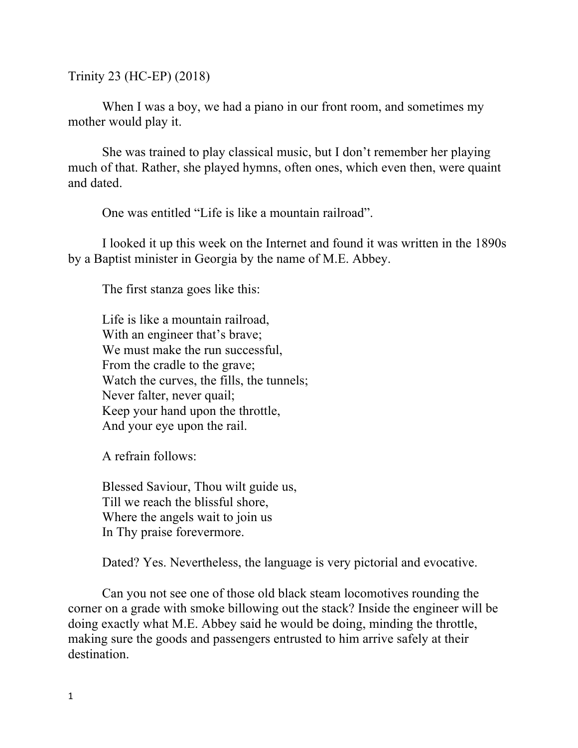Trinity 23 (HC-EP) (2018)

When I was a boy, we had a piano in our front room, and sometimes my mother would play it.

She was trained to play classical music, but I don't remember her playing much of that. Rather, she played hymns, often ones, which even then, were quaint and dated.

One was entitled "Life is like a mountain railroad".

I looked it up this week on the Internet and found it was written in the 1890s by a Baptist minister in Georgia by the name of M.E. Abbey.

The first stanza goes like this:

Life is like a mountain railroad, With an engineer that's brave; We must make the run successful, From the cradle to the grave; Watch the curves, the fills, the tunnels; Never falter, never quail; Keep your hand upon the throttle, And your eye upon the rail.

A refrain follows:

Blessed Saviour, Thou wilt guide us, Till we reach the blissful shore, Where the angels wait to join us In Thy praise forevermore.

Dated? Yes. Nevertheless, the language is very pictorial and evocative.

Can you not see one of those old black steam locomotives rounding the corner on a grade with smoke billowing out the stack? Inside the engineer will be doing exactly what M.E. Abbey said he would be doing, minding the throttle, making sure the goods and passengers entrusted to him arrive safely at their destination.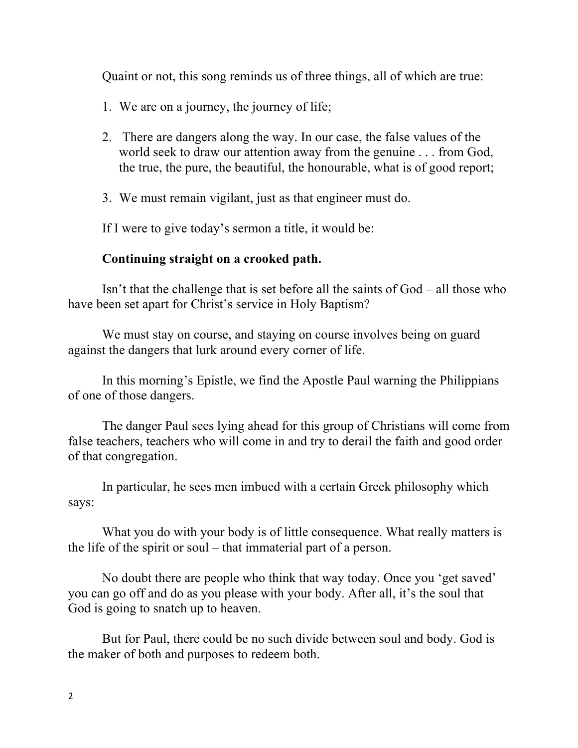Quaint or not, this song reminds us of three things, all of which are true:

- 1. We are on a journey, the journey of life;
- 2. There are dangers along the way. In our case, the false values of the world seek to draw our attention away from the genuine . . . from God, the true, the pure, the beautiful, the honourable, what is of good report;
- 3. We must remain vigilant, just as that engineer must do.

If I were to give today's sermon a title, it would be:

## **Continuing straight on a crooked path.**

Isn't that the challenge that is set before all the saints of God – all those who have been set apart for Christ's service in Holy Baptism?

We must stay on course, and staying on course involves being on guard against the dangers that lurk around every corner of life.

In this morning's Epistle, we find the Apostle Paul warning the Philippians of one of those dangers.

The danger Paul sees lying ahead for this group of Christians will come from false teachers, teachers who will come in and try to derail the faith and good order of that congregation.

In particular, he sees men imbued with a certain Greek philosophy which says:

What you do with your body is of little consequence. What really matters is the life of the spirit or soul – that immaterial part of a person.

No doubt there are people who think that way today. Once you 'get saved' you can go off and do as you please with your body. After all, it's the soul that God is going to snatch up to heaven.

But for Paul, there could be no such divide between soul and body. God is the maker of both and purposes to redeem both.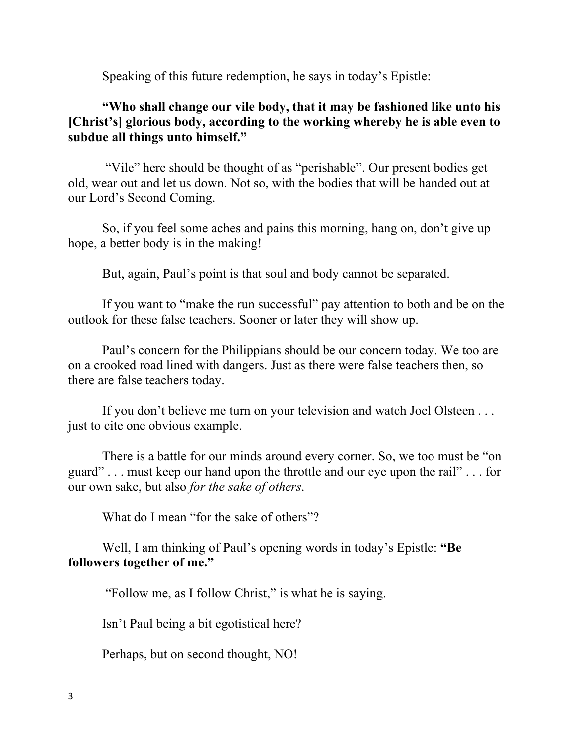Speaking of this future redemption, he says in today's Epistle:

## **"Who shall change our vile body, that it may be fashioned like unto his [Christ's] glorious body, according to the working whereby he is able even to subdue all things unto himself."**

"Vile" here should be thought of as "perishable". Our present bodies get old, wear out and let us down. Not so, with the bodies that will be handed out at our Lord's Second Coming.

So, if you feel some aches and pains this morning, hang on, don't give up hope, a better body is in the making!

But, again, Paul's point is that soul and body cannot be separated.

If you want to "make the run successful" pay attention to both and be on the outlook for these false teachers. Sooner or later they will show up.

Paul's concern for the Philippians should be our concern today. We too are on a crooked road lined with dangers. Just as there were false teachers then, so there are false teachers today.

If you don't believe me turn on your television and watch Joel Olsteen . . . just to cite one obvious example.

There is a battle for our minds around every corner. So, we too must be "on guard" . . . must keep our hand upon the throttle and our eye upon the rail" . . . for our own sake, but also *for the sake of others*.

What do I mean "for the sake of others"?

Well, I am thinking of Paul's opening words in today's Epistle: **"Be followers together of me."**

"Follow me, as I follow Christ," is what he is saying.

Isn't Paul being a bit egotistical here?

Perhaps, but on second thought, NO!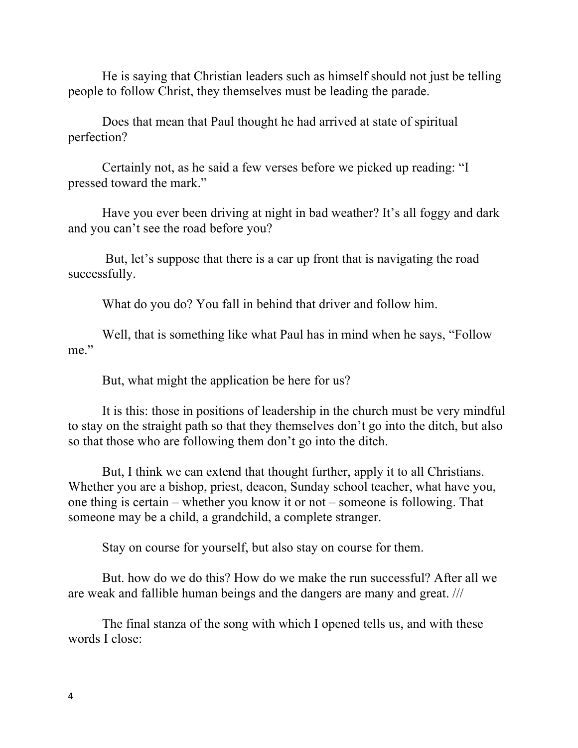He is saying that Christian leaders such as himself should not just be telling people to follow Christ, they themselves must be leading the parade.

Does that mean that Paul thought he had arrived at state of spiritual perfection?

Certainly not, as he said a few verses before we picked up reading: "I pressed toward the mark."

Have you ever been driving at night in bad weather? It's all foggy and dark and you can't see the road before you?

But, let's suppose that there is a car up front that is navigating the road successfully.

What do you do? You fall in behind that driver and follow him.

Well, that is something like what Paul has in mind when he says, "Follow me."

But, what might the application be here for us?

It is this: those in positions of leadership in the church must be very mindful to stay on the straight path so that they themselves don't go into the ditch, but also so that those who are following them don't go into the ditch.

But, I think we can extend that thought further, apply it to all Christians. Whether you are a bishop, priest, deacon, Sunday school teacher, what have you, one thing is certain – whether you know it or not – someone is following. That someone may be a child, a grandchild, a complete stranger.

Stay on course for yourself, but also stay on course for them.

But. how do we do this? How do we make the run successful? After all we are weak and fallible human beings and the dangers are many and great. ///

The final stanza of the song with which I opened tells us, and with these words I close: